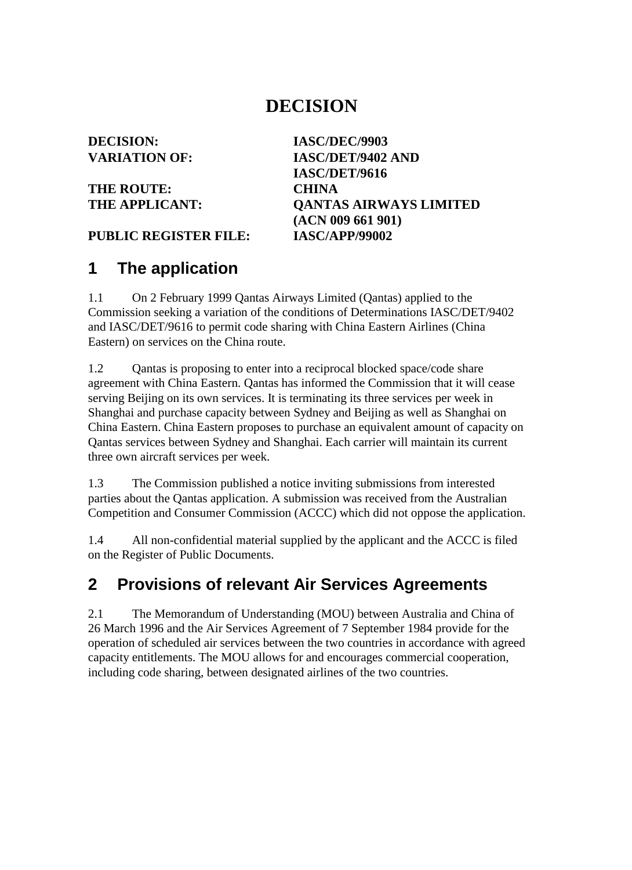### **DECISION**

**DECISION: IASC/DEC/9903**

THE ROUTE: CHINA

**VARIATION OF: IASC/DET/9402 AND IASC/DET/9616 THE APPLICANT: QANTAS AIRWAYS LIMITED (ACN 009 661 901)**

**PUBLIC REGISTER FILE: IASC/APP/99002**

## **1 The application**

1.1 On 2 February 1999 Qantas Airways Limited (Qantas) applied to the Commission seeking a variation of the conditions of Determinations IASC/DET/9402 and IASC/DET/9616 to permit code sharing with China Eastern Airlines (China Eastern) on services on the China route.

1.2 Qantas is proposing to enter into a reciprocal blocked space/code share agreement with China Eastern. Qantas has informed the Commission that it will cease serving Beijing on its own services. It is terminating its three services per week in Shanghai and purchase capacity between Sydney and Beijing as well as Shanghai on China Eastern. China Eastern proposes to purchase an equivalent amount of capacity on Qantas services between Sydney and Shanghai. Each carrier will maintain its current three own aircraft services per week.

1.3 The Commission published a notice inviting submissions from interested parties about the Qantas application. A submission was received from the Australian Competition and Consumer Commission (ACCC) which did not oppose the application.

1.4 All non-confidential material supplied by the applicant and the ACCC is filed on the Register of Public Documents.

### **2 Provisions of relevant Air Services Agreements**

2.1 The Memorandum of Understanding (MOU) between Australia and China of 26 March 1996 and the Air Services Agreement of 7 September 1984 provide for the operation of scheduled air services between the two countries in accordance with agreed capacity entitlements. The MOU allows for and encourages commercial cooperation, including code sharing, between designated airlines of the two countries.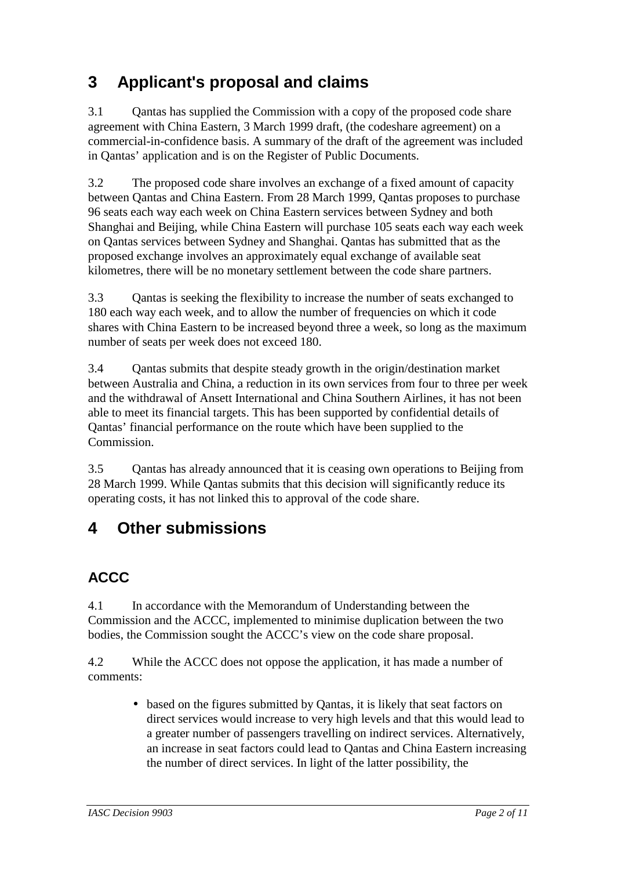## **3 Applicant's proposal and claims**

3.1 Qantas has supplied the Commission with a copy of the proposed code share agreement with China Eastern, 3 March 1999 draft, (the codeshare agreement) on a commercial-in-confidence basis. A summary of the draft of the agreement was included in Qantas' application and is on the Register of Public Documents.

3.2 The proposed code share involves an exchange of a fixed amount of capacity between Qantas and China Eastern. From 28 March 1999, Qantas proposes to purchase 96 seats each way each week on China Eastern services between Sydney and both Shanghai and Beijing, while China Eastern will purchase 105 seats each way each week on Qantas services between Sydney and Shanghai. Qantas has submitted that as the proposed exchange involves an approximately equal exchange of available seat kilometres, there will be no monetary settlement between the code share partners.

3.3 Qantas is seeking the flexibility to increase the number of seats exchanged to 180 each way each week, and to allow the number of frequencies on which it code shares with China Eastern to be increased beyond three a week, so long as the maximum number of seats per week does not exceed 180.

3.4 Qantas submits that despite steady growth in the origin/destination market between Australia and China, a reduction in its own services from four to three per week and the withdrawal of Ansett International and China Southern Airlines, it has not been able to meet its financial targets. This has been supported by confidential details of Qantas' financial performance on the route which have been supplied to the Commission.

3.5 Qantas has already announced that it is ceasing own operations to Beijing from 28 March 1999. While Qantas submits that this decision will significantly reduce its operating costs, it has not linked this to approval of the code share.

### **4 Other submissions**

### **ACCC**

4.1 In accordance with the Memorandum of Understanding between the Commission and the ACCC, implemented to minimise duplication between the two bodies, the Commission sought the ACCC's view on the code share proposal.

4.2 While the ACCC does not oppose the application, it has made a number of comments:

> • based on the figures submitted by Qantas, it is likely that seat factors on direct services would increase to very high levels and that this would lead to a greater number of passengers travelling on indirect services. Alternatively, an increase in seat factors could lead to Qantas and China Eastern increasing the number of direct services. In light of the latter possibility, the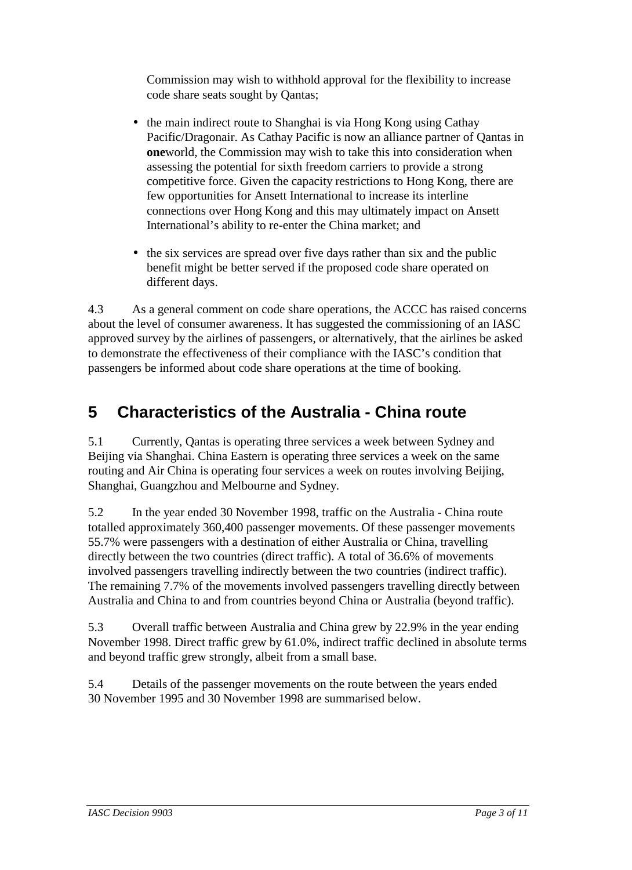Commission may wish to withhold approval for the flexibility to increase code share seats sought by Qantas;

- the main indirect route to Shanghai is via Hong Kong using Cathay Pacific/Dragonair. As Cathay Pacific is now an alliance partner of Qantas in **one**world, the Commission may wish to take this into consideration when assessing the potential for sixth freedom carriers to provide a strong competitive force. Given the capacity restrictions to Hong Kong, there are few opportunities for Ansett International to increase its interline connections over Hong Kong and this may ultimately impact on Ansett International's ability to re-enter the China market; and
- the six services are spread over five days rather than six and the public benefit might be better served if the proposed code share operated on different days.

4.3 As a general comment on code share operations, the ACCC has raised concerns about the level of consumer awareness. It has suggested the commissioning of an IASC approved survey by the airlines of passengers, or alternatively, that the airlines be asked to demonstrate the effectiveness of their compliance with the IASC's condition that passengers be informed about code share operations at the time of booking.

## **5 Characteristics of the Australia - China route**

5.1 Currently, Qantas is operating three services a week between Sydney and Beijing via Shanghai. China Eastern is operating three services a week on the same routing and Air China is operating four services a week on routes involving Beijing, Shanghai, Guangzhou and Melbourne and Sydney.

5.2 In the year ended 30 November 1998, traffic on the Australia - China route totalled approximately 360,400 passenger movements. Of these passenger movements 55.7% were passengers with a destination of either Australia or China, travelling directly between the two countries (direct traffic). A total of 36.6% of movements involved passengers travelling indirectly between the two countries (indirect traffic). The remaining 7.7% of the movements involved passengers travelling directly between Australia and China to and from countries beyond China or Australia (beyond traffic).

5.3 Overall traffic between Australia and China grew by 22.9% in the year ending November 1998. Direct traffic grew by 61.0%, indirect traffic declined in absolute terms and beyond traffic grew strongly, albeit from a small base.

5.4 Details of the passenger movements on the route between the years ended 30 November 1995 and 30 November 1998 are summarised below.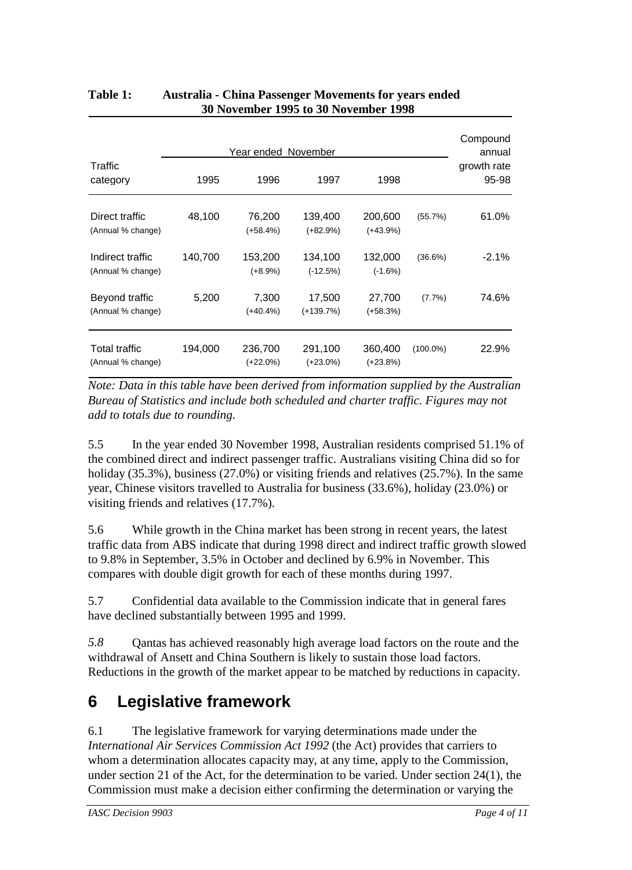|                                       | Year ended November |                       |                        |                       |             | Compound<br>annual   |
|---------------------------------------|---------------------|-----------------------|------------------------|-----------------------|-------------|----------------------|
| Traffic<br>category                   | 1995                | 1996                  | 1997                   | 1998                  |             | growth rate<br>95-98 |
| Direct traffic<br>(Annual % change)   | 48,100              | 76,200<br>$(+58.4%)$  | 139,400<br>$(+82.9%)$  | 200,600<br>$(+43.9%)$ | (55.7%)     | 61.0%                |
| Indirect traffic<br>(Annual % change) | 140,700             | 153,200<br>$(+8.9\%)$ | 134,100<br>$(-12.5%)$  | 132,000<br>$(-1.6%)$  | (36.6%)     | $-2.1\%$             |
| Beyond traffic<br>(Annual % change)   | 5,200               | 7,300<br>$(+40.4\%)$  | 17,500<br>$(+139.7%)$  | 27,700<br>$(+58.3%)$  | $(7.7\%)$   | 74.6%                |
| Total traffic<br>(Annual % change)    | 194,000             | 236,700<br>(+22.0%)   | 291,100<br>$(+23.0\%)$ | 360,400<br>$(+23.8%)$ | $(100.0\%)$ | 22.9%                |

#### **Table 1: Australia - China Passenger Movements for years ended 30 November 1995 to 30 November 1998**

*Note: Data in this table have been derived from information supplied by the Australian Bureau of Statistics and include both scheduled and charter traffic. Figures may not add to totals due to rounding.*

5.5 In the year ended 30 November 1998, Australian residents comprised 51.1% of the combined direct and indirect passenger traffic. Australians visiting China did so for holiday (35.3%), business (27.0%) or visiting friends and relatives (25.7%). In the same year, Chinese visitors travelled to Australia for business (33.6%), holiday (23.0%) or visiting friends and relatives (17.7%).

5.6 While growth in the China market has been strong in recent years, the latest traffic data from ABS indicate that during 1998 direct and indirect traffic growth slowed to 9.8% in September, 3.5% in October and declined by 6.9% in November. This compares with double digit growth for each of these months during 1997.

5.7 Confidential data available to the Commission indicate that in general fares have declined substantially between 1995 and 1999.

*5.8* Qantas has achieved reasonably high average load factors on the route and the withdrawal of Ansett and China Southern is likely to sustain those load factors. Reductions in the growth of the market appear to be matched by reductions in capacity.

## **6 Legislative framework**

6.1 The legislative framework for varying determinations made under the *International Air Services Commission Act 1992* (the Act) provides that carriers to whom a determination allocates capacity may, at any time, apply to the Commission, under section 21 of the Act, for the determination to be varied. Under section 24(1), the Commission must make a decision either confirming the determination or varying the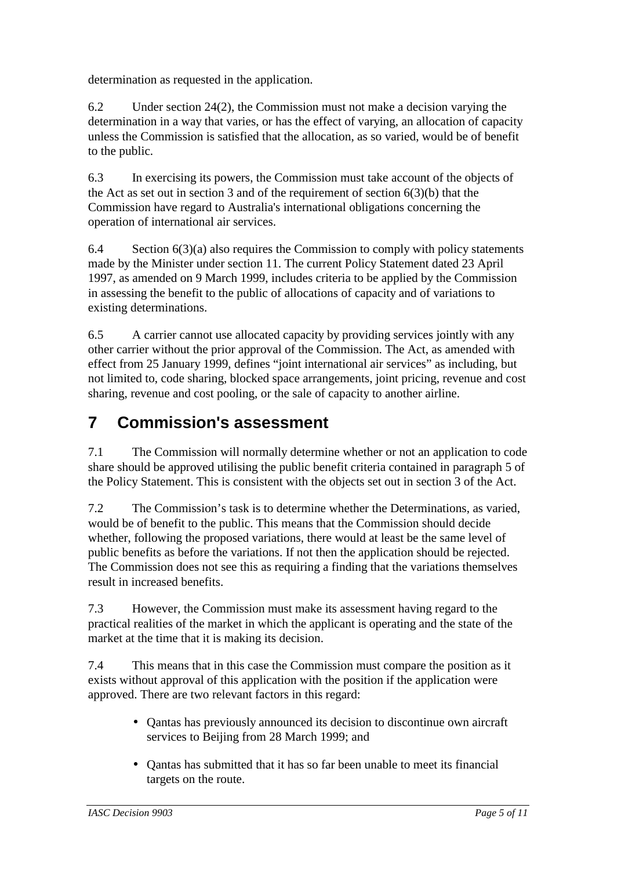determination as requested in the application.

6.2 Under section 24(2), the Commission must not make a decision varying the determination in a way that varies, or has the effect of varying, an allocation of capacity unless the Commission is satisfied that the allocation, as so varied, would be of benefit to the public.

6.3 In exercising its powers, the Commission must take account of the objects of the Act as set out in section 3 and of the requirement of section  $6(3)(b)$  that the Commission have regard to Australia's international obligations concerning the operation of international air services.

6.4 Section 6(3)(a) also requires the Commission to comply with policy statements made by the Minister under section 11. The current Policy Statement dated 23 April 1997, as amended on 9 March 1999, includes criteria to be applied by the Commission in assessing the benefit to the public of allocations of capacity and of variations to existing determinations.

6.5 A carrier cannot use allocated capacity by providing services jointly with any other carrier without the prior approval of the Commission. The Act, as amended with effect from 25 January 1999, defines "joint international air services" as including, but not limited to, code sharing, blocked space arrangements, joint pricing, revenue and cost sharing, revenue and cost pooling, or the sale of capacity to another airline.

## **7 Commission's assessment**

7.1 The Commission will normally determine whether or not an application to code share should be approved utilising the public benefit criteria contained in paragraph 5 of the Policy Statement. This is consistent with the objects set out in section 3 of the Act.

7.2 The Commission's task is to determine whether the Determinations, as varied, would be of benefit to the public. This means that the Commission should decide whether, following the proposed variations, there would at least be the same level of public benefits as before the variations. If not then the application should be rejected. The Commission does not see this as requiring a finding that the variations themselves result in increased benefits.

7.3 However, the Commission must make its assessment having regard to the practical realities of the market in which the applicant is operating and the state of the market at the time that it is making its decision.

7.4 This means that in this case the Commission must compare the position as it exists without approval of this application with the position if the application were approved. There are two relevant factors in this regard:

- Qantas has previously announced its decision to discontinue own aircraft services to Beijing from 28 March 1999; and
- Qantas has submitted that it has so far been unable to meet its financial targets on the route.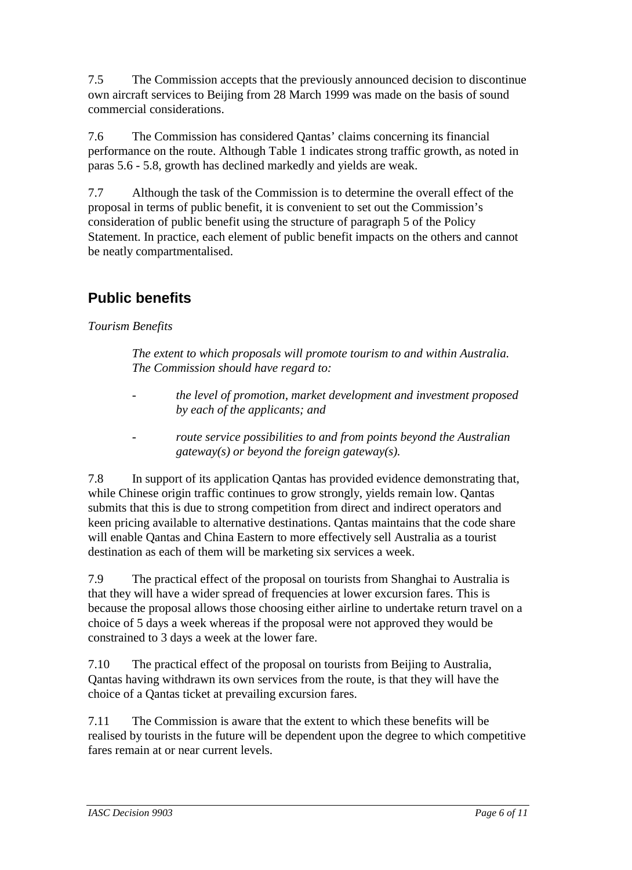7.5 The Commission accepts that the previously announced decision to discontinue own aircraft services to Beijing from 28 March 1999 was made on the basis of sound commercial considerations.

7.6 The Commission has considered Qantas' claims concerning its financial performance on the route. Although Table 1 indicates strong traffic growth, as noted in paras 5.6 - 5.8, growth has declined markedly and yields are weak.

7.7 Although the task of the Commission is to determine the overall effect of the proposal in terms of public benefit, it is convenient to set out the Commission's consideration of public benefit using the structure of paragraph 5 of the Policy Statement. In practice, each element of public benefit impacts on the others and cannot be neatly compartmentalised.

## **Public benefits**

#### *Tourism Benefits*

*The extent to which proposals will promote tourism to and within Australia. The Commission should have regard to:*

- *the level of promotion, market development and investment proposed by each of the applicants; and*
- *route service possibilities to and from points beyond the Australian gateway(s) or beyond the foreign gateway(s).*

7.8 In support of its application Qantas has provided evidence demonstrating that, while Chinese origin traffic continues to grow strongly, yields remain low. Qantas submits that this is due to strong competition from direct and indirect operators and keen pricing available to alternative destinations. Qantas maintains that the code share will enable Qantas and China Eastern to more effectively sell Australia as a tourist destination as each of them will be marketing six services a week.

7.9 The practical effect of the proposal on tourists from Shanghai to Australia is that they will have a wider spread of frequencies at lower excursion fares. This is because the proposal allows those choosing either airline to undertake return travel on a choice of 5 days a week whereas if the proposal were not approved they would be constrained to 3 days a week at the lower fare.

7.10 The practical effect of the proposal on tourists from Beijing to Australia, Qantas having withdrawn its own services from the route, is that they will have the choice of a Qantas ticket at prevailing excursion fares.

7.11 The Commission is aware that the extent to which these benefits will be realised by tourists in the future will be dependent upon the degree to which competitive fares remain at or near current levels.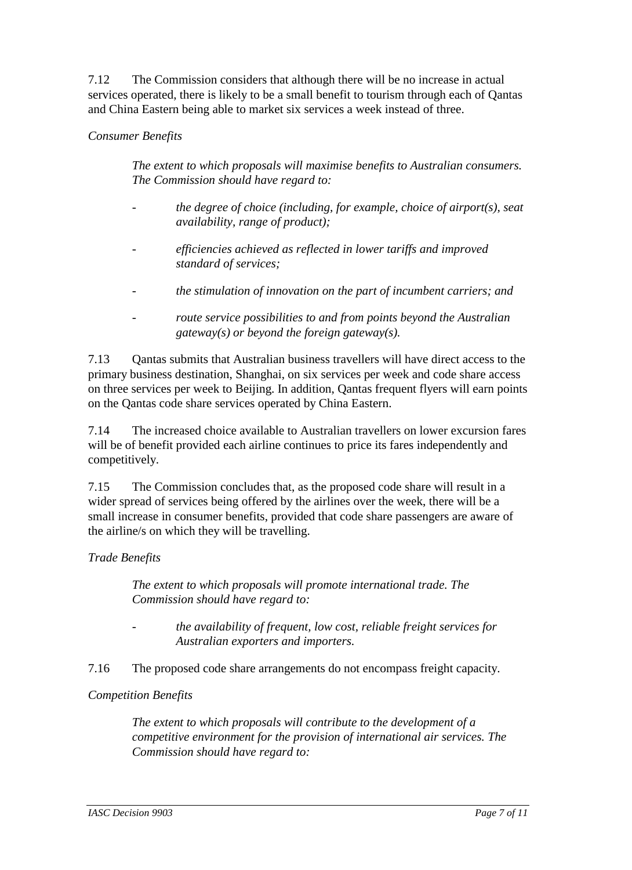7.12 The Commission considers that although there will be no increase in actual services operated, there is likely to be a small benefit to tourism through each of Qantas and China Eastern being able to market six services a week instead of three.

#### *Consumer Benefits*

*The extent to which proposals will maximise benefits to Australian consumers. The Commission should have regard to:*

- *the degree of choice (including, for example, choice of airport(s), seat availability, range of product);*
- *efficiencies achieved as reflected in lower tariffs and improved standard of services;*
- *the stimulation of innovation on the part of incumbent carriers; and*
- *route service possibilities to and from points beyond the Australian gateway(s) or beyond the foreign gateway(s).*

7.13 Qantas submits that Australian business travellers will have direct access to the primary business destination, Shanghai, on six services per week and code share access on three services per week to Beijing. In addition, Qantas frequent flyers will earn points on the Qantas code share services operated by China Eastern.

7.14 The increased choice available to Australian travellers on lower excursion fares will be of benefit provided each airline continues to price its fares independently and competitively.

7.15 The Commission concludes that, as the proposed code share will result in a wider spread of services being offered by the airlines over the week, there will be a small increase in consumer benefits, provided that code share passengers are aware of the airline/s on which they will be travelling.

#### *Trade Benefits*

*The extent to which proposals will promote international trade. The Commission should have regard to:*

- *the availability of frequent, low cost, reliable freight services for Australian exporters and importers.*
- 7.16 The proposed code share arrangements do not encompass freight capacity.

#### *Competition Benefits*

*The extent to which proposals will contribute to the development of a competitive environment for the provision of international air services. The Commission should have regard to:*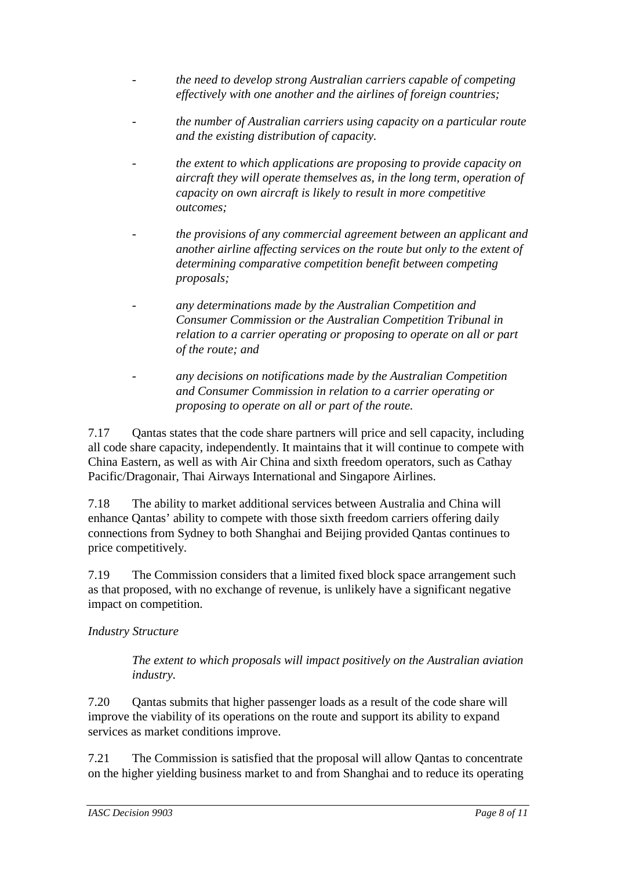- *the need to develop strong Australian carriers capable of competing effectively with one another and the airlines of foreign countries;*
- *the number of Australian carriers using capacity on a particular route and the existing distribution of capacity.*
- *the extent to which applications are proposing to provide capacity on aircraft they will operate themselves as, in the long term, operation of capacity on own aircraft is likely to result in more competitive outcomes;*
- *the provisions of any commercial agreement between an applicant and another airline affecting services on the route but only to the extent of determining comparative competition benefit between competing proposals;*
- *any determinations made by the Australian Competition and Consumer Commission or the Australian Competition Tribunal in relation to a carrier operating or proposing to operate on all or part of the route; and*
- *any decisions on notifications made by the Australian Competition and Consumer Commission in relation to a carrier operating or proposing to operate on all or part of the route.*

7.17 Qantas states that the code share partners will price and sell capacity, including all code share capacity, independently. It maintains that it will continue to compete with China Eastern, as well as with Air China and sixth freedom operators, such as Cathay Pacific/Dragonair, Thai Airways International and Singapore Airlines.

7.18 The ability to market additional services between Australia and China will enhance Qantas' ability to compete with those sixth freedom carriers offering daily connections from Sydney to both Shanghai and Beijing provided Qantas continues to price competitively.

7.19 The Commission considers that a limited fixed block space arrangement such as that proposed, with no exchange of revenue, is unlikely have a significant negative impact on competition.

#### *Industry Structure*

*The extent to which proposals will impact positively on the Australian aviation industry.*

7.20 Qantas submits that higher passenger loads as a result of the code share will improve the viability of its operations on the route and support its ability to expand services as market conditions improve.

7.21 The Commission is satisfied that the proposal will allow Qantas to concentrate on the higher yielding business market to and from Shanghai and to reduce its operating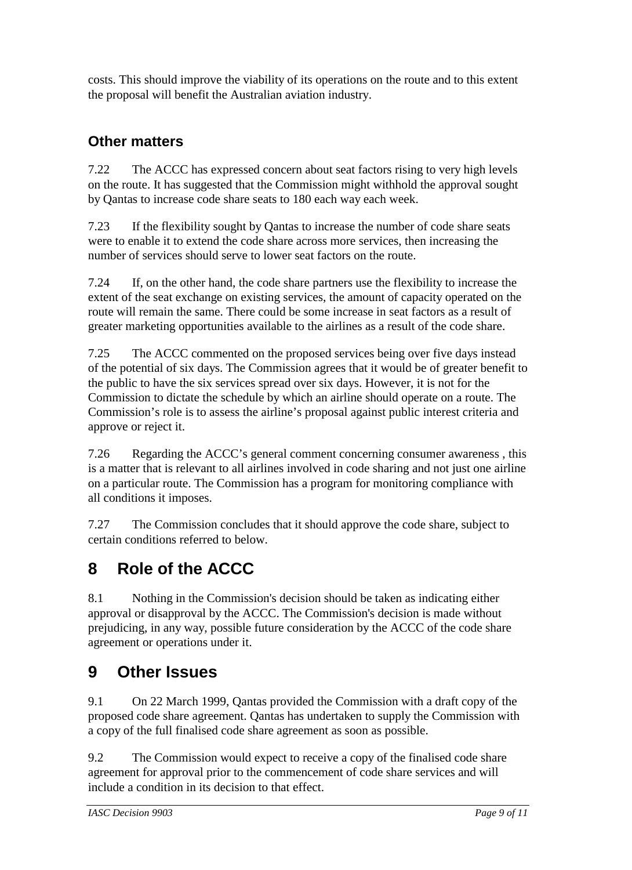costs. This should improve the viability of its operations on the route and to this extent the proposal will benefit the Australian aviation industry.

#### **Other matters**

7.22 The ACCC has expressed concern about seat factors rising to very high levels on the route. It has suggested that the Commission might withhold the approval sought by Qantas to increase code share seats to 180 each way each week.

7.23 If the flexibility sought by Qantas to increase the number of code share seats were to enable it to extend the code share across more services, then increasing the number of services should serve to lower seat factors on the route.

7.24 If, on the other hand, the code share partners use the flexibility to increase the extent of the seat exchange on existing services, the amount of capacity operated on the route will remain the same. There could be some increase in seat factors as a result of greater marketing opportunities available to the airlines as a result of the code share.

7.25 The ACCC commented on the proposed services being over five days instead of the potential of six days. The Commission agrees that it would be of greater benefit to the public to have the six services spread over six days. However, it is not for the Commission to dictate the schedule by which an airline should operate on a route. The Commission's role is to assess the airline's proposal against public interest criteria and approve or reject it.

7.26 Regarding the ACCC's general comment concerning consumer awareness , this is a matter that is relevant to all airlines involved in code sharing and not just one airline on a particular route. The Commission has a program for monitoring compliance with all conditions it imposes.

7.27 The Commission concludes that it should approve the code share, subject to certain conditions referred to below.

# **8 Role of the ACCC**

8.1 Nothing in the Commission's decision should be taken as indicating either approval or disapproval by the ACCC. The Commission's decision is made without prejudicing, in any way, possible future consideration by the ACCC of the code share agreement or operations under it.

## **9 Other Issues**

9.1 On 22 March 1999, Qantas provided the Commission with a draft copy of the proposed code share agreement. Qantas has undertaken to supply the Commission with a copy of the full finalised code share agreement as soon as possible.

9.2 The Commission would expect to receive a copy of the finalised code share agreement for approval prior to the commencement of code share services and will include a condition in its decision to that effect.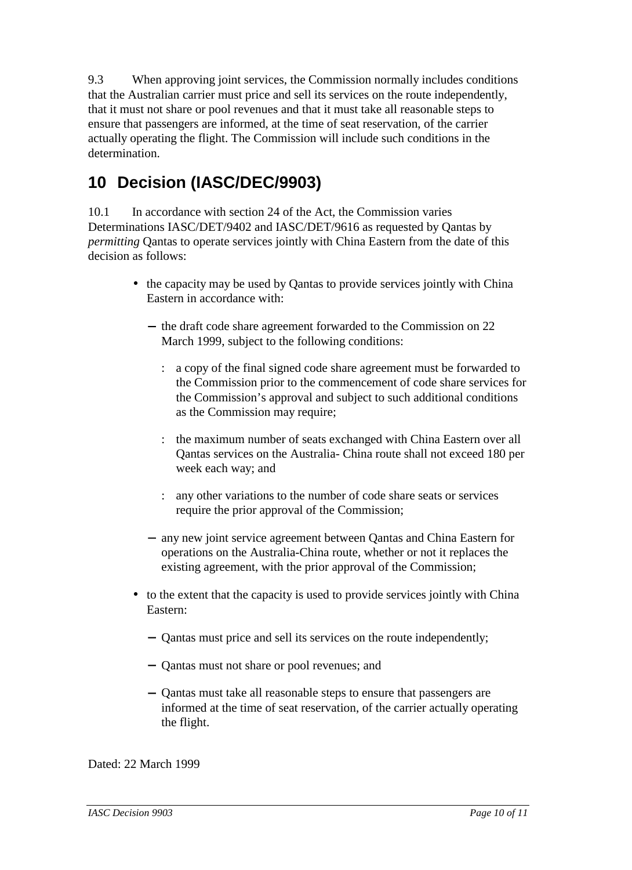9.3 When approving joint services, the Commission normally includes conditions that the Australian carrier must price and sell its services on the route independently, that it must not share or pool revenues and that it must take all reasonable steps to ensure that passengers are informed, at the time of seat reservation, of the carrier actually operating the flight. The Commission will include such conditions in the determination.

# **10 Decision (IASC/DEC/9903)**

10.1 In accordance with section 24 of the Act, the Commission varies Determinations IASC/DET/9402 and IASC/DET/9616 as requested by Qantas by *permitting* Qantas to operate services jointly with China Eastern from the date of this decision as follows:

- the capacity may be used by Qantas to provide services jointly with China Eastern in accordance with:
	- − the draft code share agreement forwarded to the Commission on 22 March 1999, subject to the following conditions:
		- : a copy of the final signed code share agreement must be forwarded to the Commission prior to the commencement of code share services for the Commission's approval and subject to such additional conditions as the Commission may require;
		- : the maximum number of seats exchanged with China Eastern over all Qantas services on the Australia- China route shall not exceed 180 per week each way; and
		- : any other variations to the number of code share seats or services require the prior approval of the Commission;
	- − any new joint service agreement between Qantas and China Eastern for operations on the Australia-China route, whether or not it replaces the existing agreement, with the prior approval of the Commission;
- to the extent that the capacity is used to provide services jointly with China Eastern:
	- − Qantas must price and sell its services on the route independently;
	- − Qantas must not share or pool revenues; and
	- − Qantas must take all reasonable steps to ensure that passengers are informed at the time of seat reservation, of the carrier actually operating the flight.

Dated: 22 March 1999